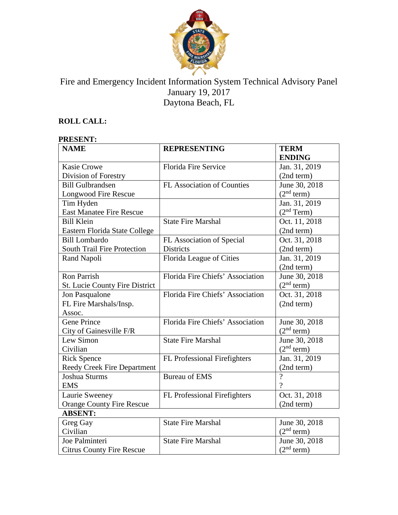

# Fire and Emergency Incident Information System Technical Advisory Panel January 19, 2017 Daytona Beach, FL

## **ROLL CALL:**

## **PRESENT:**

| <b>NAME</b>                      | <b>REPRESENTING</b>               | <b>TERM</b>            |
|----------------------------------|-----------------------------------|------------------------|
|                                  |                                   | <b>ENDING</b>          |
| <b>Kasie Crowe</b>               | <b>Florida Fire Service</b>       | Jan. 31, 2019          |
| Division of Forestry             |                                   | (2nd term)             |
| <b>Bill Gulbrandsen</b>          | <b>FL Association of Counties</b> | June 30, 2018          |
| <b>Longwood Fire Rescue</b>      |                                   | (2 <sup>nd</sup> term) |
| Tim Hyden                        |                                   | Jan. 31, 2019          |
| <b>East Manatee Fire Rescue</b>  |                                   | (2 <sup>nd</sup> Term) |
| <b>Bill Klein</b>                | <b>State Fire Marshal</b>         | Oct. 11, 2018          |
| Eastern Florida State College    |                                   | (2nd term)             |
| <b>Bill Lombardo</b>             | FL Association of Special         | Oct. 31, 2018          |
| South Trail Fire Protection      | Districts                         | (2nd term)             |
| Rand Napoli                      | Florida League of Cities          | Jan. 31, 2019          |
|                                  |                                   | (2nd term)             |
| <b>Ron Parrish</b>               | Florida Fire Chiefs' Association  | June 30, 2018          |
| St. Lucie County Fire District   |                                   | (2 <sup>nd</sup> term) |
| Jon Pasqualone                   | Florida Fire Chiefs' Association  | Oct. 31, 2018          |
| FL Fire Marshals/Insp.           |                                   | (2nd term)             |
| Assoc.                           |                                   |                        |
| <b>Gene Prince</b>               | Florida Fire Chiefs' Association  | June 30, 2018          |
| City of Gainesville F/R          |                                   | (2 <sup>nd</sup> term) |
| Lew Simon                        | <b>State Fire Marshal</b>         | June 30, 2018          |
| Civilian                         |                                   | $(2nd$ term)           |
| <b>Rick Spence</b>               | FL Professional Firefighters      | Jan. 31, 2019          |
| Reedy Creek Fire Department      |                                   | (2nd term)             |
| Joshua Sturms                    | <b>Bureau of EMS</b>              | $\overline{?}$         |
| <b>EMS</b>                       |                                   | $\gamma$               |
| Laurie Sweeney                   | FL Professional Firefighters      | Oct. 31, 2018          |
| <b>Orange County Fire Rescue</b> |                                   | (2nd term)             |
| <b>ABSENT:</b>                   |                                   |                        |
| Greg Gay                         | <b>State Fire Marshal</b>         | June 30, 2018          |
| Civilian                         |                                   | (2 <sup>nd</sup> term) |
| Joe Palminteri                   | <b>State Fire Marshal</b>         | June 30, 2018          |
| <b>Citrus County Fire Rescue</b> |                                   | (2 <sup>nd</sup> term) |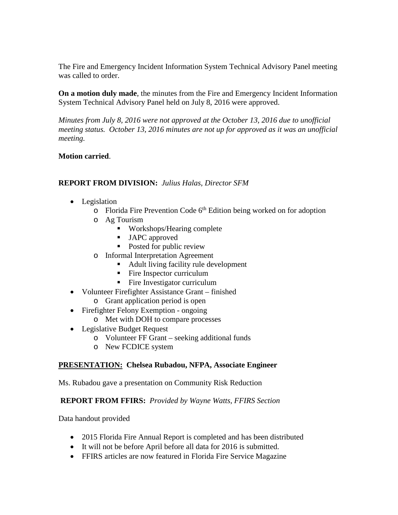The Fire and Emergency Incident Information System Technical Advisory Panel meeting was called to order.

**On a motion duly made**, the minutes from the Fire and Emergency Incident Information System Technical Advisory Panel held on July 8, 2016 were approved.

*Minutes from July 8, 2016 were not approved at the October 13, 2016 due to unofficial meeting status. October 13, 2016 minutes are not up for approved as it was an unofficial meeting.*

#### **Motion carried**.

#### **REPORT FROM DIVISION:** *Julius Halas, Director SFM*

- Legislation
	- $\circ$  Florida Fire Prevention Code  $6<sup>th</sup>$  Edition being worked on for adoption
	- o Ag Tourism
		- Workshops/Hearing complete
		- **JAPC** approved
		- Posted for public review
	- o Informal Interpretation Agreement
		- Adult living facility rule development
		- Fire Inspector curriculum
		- Fire Investigator curriculum
- Volunteer Firefighter Assistance Grant finished
	- o Grant application period is open
- Firefighter Felony Exemption ongoing
	- o Met with DOH to compare processes
- Legislative Budget Request
	- o Volunteer FF Grant seeking additional funds
	- o New FCDICE system

#### **PRESENTATION: Chelsea Rubadou, NFPA, Associate Engineer**

Ms. Rubadou gave a presentation on Community Risk Reduction

#### **REPORT FROM FFIRS:** *Provided by Wayne Watts, FFIRS Section*

Data handout provided

- 2015 Florida Fire Annual Report is completed and has been distributed
- It will not be before April before all data for 2016 is submitted.
- FFIRS articles are now featured in Florida Fire Service Magazine